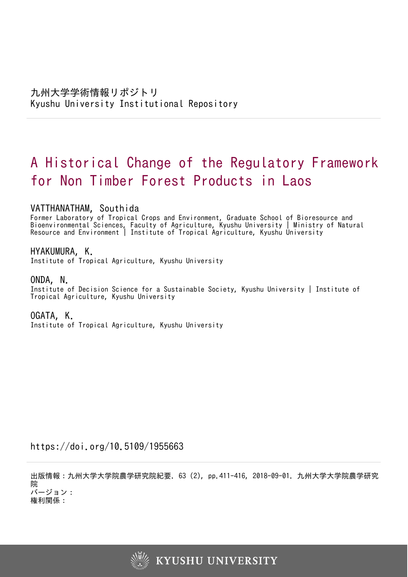# A Historical Change of the Regulatory Framework for Non Timber Forest Products in Laos

# VATTHANATHAM, Southida

Former Laboratory of Tropical Crops and Environment, Graduate School of Bioresource and Bioenvironmental Sciences, Faculty of Agriculture, Kyushu University | Ministry of Natural Resource and Environment | Institute of Tropical Agriculture, Kyushu University

## HYAKUMURA, K.

Institute of Tropical Agriculture, Kyushu University

## ONDA, N.

Institute of Decision Science for a Sustainable Society, Kyushu University | Institute of Tropical Agriculture, Kyushu University

# OGATA, K.

Institute of Tropical Agriculture, Kyushu University

https://doi.org/10.5109/1955663

出版情報:九州大学大学院農学研究院紀要. 63 (2), pp.411-416, 2018-09-01. 九州大学大学院農学研究 院 バージョン:

権利関係:

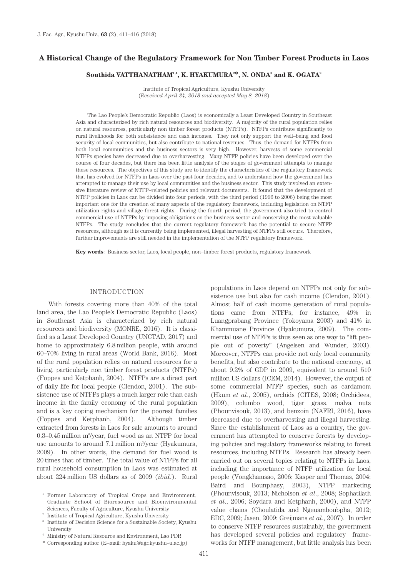## **A Historical Change of the Regulatory Framework for Non Timber Forest Products in Laos**

#### $\mathbf{Southida VATTHANATHAM}^{1,4}, \mathbf{K. HYAKUMURA}^{2*}, \mathbf{N. ONDA}^{3} \text{ and } \mathbf{K. OGATA}^{2*}$

Institute of Tropical Agriculture, Kyushu University (*Received April 24, 2018 and accepted May 8, 2018*)

The Lao People's Democratic Republic (Laos) is economically a Least Developed Country in Southeast Asia and characterized by rich natural resources and biodiversity. A majority of the rural population relies on natural resources, particularly non timber forest products (NTFPs). NTFPs contribute significantly to rural livelihoods for both subsistence and cash incomes. They not only support the well–being and food security of local communities, but also contribute to national revenues. Thus, the demand for NTFPs from both local communities and the business sectors is very high. However, harvests of some commercial NTFPs species have decreased due to overharvesting. Many NTFP policies have been developed over the course of four decades, but there has been little analysis of the stages of government attempts to manage these resources. The objectives of this study are to identify the characteristics of the regulatory framework that has evolved for NTFPs in Laos over the past four decades, and to understand how the government has attempted to manage their use by local communities and the business sector. This study involved an extensive literature review of NTFP–related policies and relevant documents. It found that the development of NTFP policies in Laos can be divided into four periods, with the third period (1996 to 2006) being the most important one for the creation of many aspects of the regulatory framework, including legislation on NTFP utilization rights and village forest rights. During the fourth period, the government also tried to control commercial use of NTFPs by imposing obligations on the business sector and conserving the most valuable NTFPs. The study concludes that the current regulatory framework has the potential to secure NTFP resources, although as it is currently being implemented, illegal harvesting of NTFPs still occurs. Therefore, further improvements are still needed in the implementation of the NTFP regulatory framework.

**Key words**: Business sector, Laos, local people, non–timber forest products, regulatory framework

#### INTRODUCTION

With forests covering more than 40% of the total land area, the Lao People's Democratic Republic (Laos) in Southeast Asia is characterized by rich natural resources and biodiversity (MONRE, 2016). It is classified as a Least Developed Country (UNCTAD, 2017) and home to approximately 6.8 million people, with around 60–70% living in rural areas (World Bank, 2016). Most of the rural population relies on natural resources for a living, particularly non timber forest products (NTFPs) (Foppes and Ketphanh, 2004). NTFPs are a direct part of daily life for local people (Clendon, 2001). The subsistence use of NTFPs plays a much larger role than cash income in the family economy of the rural population and is a key coping mechanism for the poorest families (Foppes and Ketphanh, 2004). Although timber extracted from forests in Laos for sale amounts to around 0.3–0.45 million m3 /year, fuel wood as an NTFP for local use amounts to around 7.1 million m<sup>3</sup>/year (Hyakumura, 2009). In other words, the demand for fuel wood is 20 times that of timber. The total value of NTFPs for all rural household consumption in Laos was estimated at about 224 million US dollars as of 2009 (*ibid*.). Rural

populations in Laos depend on NTFPs not only for subsistence use but also for cash income (Clendon, 2001). Almost half of cash income generation of rural populations came from NTFPs; for instance, 49% in Luangprabang Province (Yokoyama 2003) and 41% in Khammuane Province (Hyakumura, 2009). The commercial use of NTFPs is thus seen as one way to "lift people out of poverty" (Angelsen and Wunder, 2003). Moreover, NTFPs can provide not only local community benefits, but also contribute to the national economy, at about 9.2% of GDP in 2009, equivalent to around 510 million US dollars (ICEM, 2014). However, the output of some commercial NTFP species, such as cardamom (Hkum *et al*., 2005), orchids (CITES, 2008; Orchidees, 2009), columbo wood, tiger grass, malva nuts (Phounvisouk, 2013), and benzoin (NAFRI, 2016), have decreased due to overharvesting and illegal harvesting. Since the establishment of Laos as a country, the government has attempted to conserve forests by developing policies and regulatory frameworks relating to forest resources, including NTFPs. Research has already been carried out on several topics relating to NTFPs in Laos, including the importance of NTFP utilization for local people (Vongkhamsao, 2006; Kasper and Thomas, 2004; Baird and Bounphasy, 2003), NTFP marketing (Phounvisouk, 2013; Nicholson *et al*., 2008; Sophatilath *et al*., 2006; Soydara and Ketphanh, 2000), and NTFP value chains (Choulatida and Ngeuamboubpha, 2012; EDC, 2009; Jasen, 2009; Greijmans *et al*., 2007). In order to conserve NTFP resources sustainably, the government has developed several policies and regulatory frameworks for NTFP management, but little analysis has been

<sup>&</sup>lt;sup>1</sup> Former Laboratory of Tropical Crops and Environment, Graduate School of Bioresource and Bioenvironmental Sciences, Faculty of Agriculture, Kyushu University

<sup>2</sup> Institute of Tropical Agriculture, Kyushu University

<sup>3</sup> Institute of Decision Science for a Sustainable Society, Kyushu University 4 Ministry of Natural Resource and Environment, Lao PDR

<sup>\*</sup> Corresponding author (E–mail: hyaku@agr.kyushu–u.ac.jp)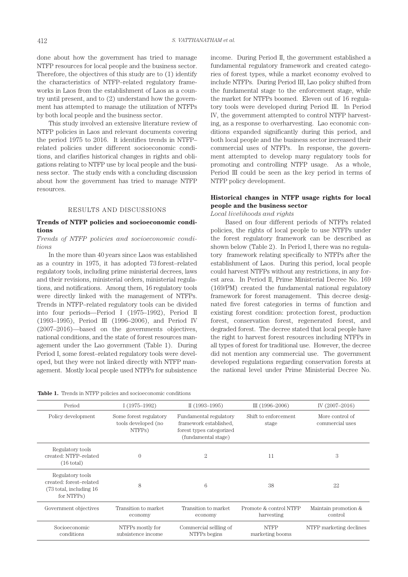done about how the government has tried to manage NTFP resources for local people and the business sector. Therefore, the objectives of this study are to (1) identify the characteristics of NTFP–related regulatory frameworks in Laos from the establishment of Laos as a country until present, and to (2) understand how the government has attempted to manage the utilization of NTFPs by both local people and the business sector.

This study involved an extensive literature review of NTFP policies in Laos and relevant documents covering the period 1975 to 2016. It identifies trends in NTFP– related policies under different socioeconomic conditions, and clarifies historical changes in rights and obligations relating to NTFP use by local people and the business sector. The study ends with a concluding discussion about how the government has tried to manage NTFP resources.

#### RESULTS AND DISCUSSIONS

#### **Trends of NTFP policies and socioeconomic conditions**

#### *Trends of NTFP policies and socioeconomic conditions*

In the more than 40 years since Laos was established as a country in 1975, it has adopted 73 forest–related regulatory tools, including prime ministerial decrees, laws and their revisions, ministerial orders, ministerial regulations, and notifications. Among them, 16 regulatory tools were directly linked with the management of NTFPs. Trends in NTFP–related regulatory tools can be divided into four periods—Period I (1975–1992), Period II (1993–1995), Period III (1996–2006), and Period IV (2007–2016)—based on the governments objectives, national conditions, and the state of forest resources management under the Lao government (Table 1). During Period I, some forest–related regulatory tools were developed, but they were not linked directly with NTFP management. Mostly local people used NTFPs for subsistence income. During Period II, the government established a fundamental regulatory framework and created categories of forest types, while a market economy evolved to include NTFPs. During Period III, Lao policy shifted from the fundamental stage to the enforcement stage, while the market for NTFPs boomed. Eleven out of 16 regulatory tools were developed during Period III. In Period IV, the government attempted to control NTFP harvesting, as a response to overharvesting. Lao economic conditions expanded significantly during this period, and both local people and the business sector increased their commercial uses of NTFPs. In response, the government attempted to develop many regulatory tools for promoting and controlling NTFP usage. As a whole, Period III could be seen as the key period in terms of NTFP policy development.

### **Historical changes in NTFP usage rights for local people and the business sector**

*Local livelihoods and rights*

 Based on four different periods of NTFPs related policies, the rights of local people to use NTFPs under the forest regulatory framework can be described as shown below (Table 2). In Period I, there was no regulatory framework relating specifically to NTFPs after the establishment of Laos. During this period, local people could harvest NTFPs without any restrictions, in any forest area. In Period II, Prime Ministerial Decree No. 169 (169/PM) created the fundamental national regulatory framework for forest management. This decree designated five forest categories in terms of function and existing forest condition: protection forest, production forest, conservation forest, regenerated forest, and degraded forest. The decree stated that local people have the right to harvest forest resources including NTFPs in all types of forest for traditional use. However, the decree did not mention any commercial use. The government developed regulations regarding conservation forests at the national level under Prime Ministerial Decree No.

**Table 1.** Trends in NTFP policies and socioeconomic conditions

| Period                                                                                | $I(1975-1992)$                                          | II $(1993-1995)$                                                                                    | III $(1996 - 2006)$                  | IV (2007-2016)                     |
|---------------------------------------------------------------------------------------|---------------------------------------------------------|-----------------------------------------------------------------------------------------------------|--------------------------------------|------------------------------------|
| Policy development                                                                    | Some forest regulatory<br>tools developed (no<br>NTFPs) | Fundamental regulatory<br>framework established,<br>forest types categorized<br>(fundamental stage) | Shift to enforcement<br>stage        | More control of<br>commercial uses |
| Regulatory tools<br>created: NTFP-related<br>$(16 \text{ total})$                     | $\Omega$                                                | $\overline{2}$                                                                                      | 11                                   | 3                                  |
| Regulatory tools<br>created: forest-related<br>(73 total, including 16)<br>for NTFPs) | 8                                                       | $6\phantom{.}6$                                                                                     | 38                                   | 22                                 |
| Government objectives                                                                 | Transition to market<br>economy                         | Transition to market<br>economy                                                                     | Promote & control NTFP<br>harvesting | Maintain promotion &<br>control    |
| Socioeconomic<br>conditions                                                           | NTFPs mostly for<br>subsistence income                  | Commercial sellling of<br>NTFPs begins                                                              | <b>NTFP</b><br>marketing booms       | NTFP marketing declines            |
|                                                                                       |                                                         |                                                                                                     |                                      |                                    |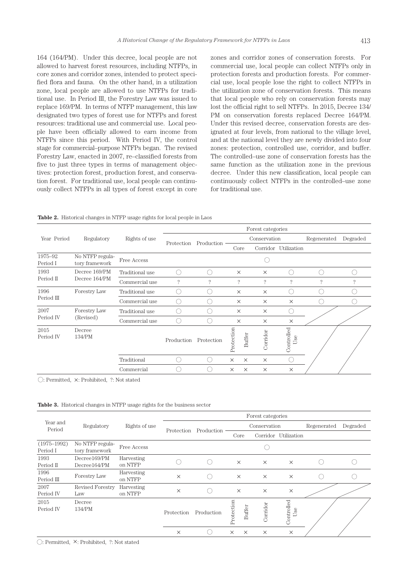164 (164/PM). Under this decree, local people are not allowed to harvest forest resources, including NTFPs, in core zones and corridor zones, intended to protect specified flora and fauna. On the other hand, in a utilization zone, local people are allowed to use NTFPs for traditional use. In Period III, the Forestry Law was issued to replace 169/PM. In terms of NTFP management, this law designated two types of forest use for NTFPs and forest resources: traditional use and commercial use. Local people have been officially allowed to earn income from NTFPs since this period. With Period IV, the control stage for commercial–purpose NTFPs began. The revised Forestry Law, enacted in 2007, re–classified forests from five to just three types in terms of management objectives: protection forest, production forest, and conservation forest. For traditional use, local people can continuously collect NTFPs in all types of forest except in core zones and corridor zones of conservation forests. For commercial use, local people can collect NTFPs only in protection forests and production forests. For commercial use, local people lose the right to collect NTFPs in the utilization zone of conservation forests. This means that local people who rely on conservation forests may lost the official right to sell NTFPs. In 2015, Decree 134/ PM on conservation forests replaced Decree 164/PM. Under this revised decree, conservation forests are designated at four levels, from national to the village level, and at the national level they are newly divided into four zones: protection, controlled use, corridor, and buffer. The controlled–use zone of conservation forests has the same function as the utilization zone in the previous decree. Under this new classification, local people can continuously collect NTFPs in the controlled–use zone for traditional use.

| <b>Table 2.</b> Historical changes in NTFP usage rights for local people in Laos |  |  |  |  |
|----------------------------------------------------------------------------------|--|--|--|--|
|                                                                                  |  |  |  |  |

|                     |                                   | Rights of use   | Forest categories |            |            |              |             |                                               |             |          |
|---------------------|-----------------------------------|-----------------|-------------------|------------|------------|--------------|-------------|-----------------------------------------------|-------------|----------|
| Year Period         | Regulatory                        |                 |                   |            |            | Conservation |             |                                               | Regenerated | Degraded |
|                     |                                   |                 | Protection        | Production | Core       |              |             | Corridor Utilization                          |             |          |
| 1975-92<br>Period I | No NTFP regula-<br>tory framework | Free Access     |                   |            |            |              |             |                                               |             |          |
| 1993                | Decree 169/PM                     | Traditional use |                   | ſ.         | $\times$   |              | $\times$    | $\sqrt{2}$                                    | n d         |          |
| Period II           | Decree 164/PM                     | Commercial use  | $\gamma$          | $\gamma$   | ?          |              | $\tilde{?}$ | ?                                             | ?           | ?        |
| 1996                | Forestry Law                      | Traditional use | Ο.                |            | $\times$   |              | $\times$    |                                               |             |          |
| Period III          |                                   | Commercial use  |                   |            | $\times$   |              | $\times$    | $\times$                                      |             |          |
| 2007                | Forestry Law                      | Traditional use | (                 | Γ.         | $\times$   |              | $\times$    | $\left( \begin{array}{c} \end{array} \right)$ |             |          |
| Period IV           | (Revised)                         | Commercial use  | C.                |            | $\times$   |              | $\times$    | $\times$                                      |             |          |
| 2015<br>Period IV   | Decree<br>134/PM                  |                 | Production        | Protection | Protection | Buffer       | Corridor    | Controlled<br>Use                             |             |          |
|                     |                                   | Traditional     | (                 | (          | $\times$   | $\times$     | $\times$    |                                               |             |          |
|                     |                                   | Commercial      |                   |            | $\times$   | $\times$     | $\times$    | $\times$                                      |             |          |

◯: Permitted, ×: Prohibited, ?: Not stated

**Table 3.** Historical changes in NTFP usage rights for the business sector

|                             |                                   |                       |            |            |                      | Forest categories |                   |             |          |
|-----------------------------|-----------------------------------|-----------------------|------------|------------|----------------------|-------------------|-------------------|-------------|----------|
| Year and<br>Period          | Regulatory                        | Rights of use         |            |            |                      | Conservation      |                   | Regenerated | Degraded |
|                             |                                   |                       | Protection | Production | Core                 | Corridor          | Utilization       |             |          |
| $(1975 - 1992)$<br>Period I | No NTFP regula-<br>tory framework | Free Access           |            |            |                      |                   |                   |             |          |
| 1993<br>Period II           | Decree169/PM<br>Decree164/PM      | Harvesting<br>on NTFP |            |            | $\times$             | $\times$          | $\times$          |             |          |
| 1996<br>Period III          | Forestry Law                      | Harvesting<br>on NTFP | $\times$   |            | $\times$             | $\times$          | $\times$          |             |          |
| 2007<br>Period IV           | <b>Revised Forestry</b><br>Law    | Harvesting<br>on NTFP | $\times$   |            | $\times$             | $\times$          | $\times$          |             |          |
| 2015<br>Period IV           | Decree<br>134/PM                  |                       | Protection | Production | Protection<br>Buffer | Corridor          | Controlled<br>Use |             |          |
|                             |                                   |                       | $\times$   |            | ×<br>$\times$        | $\times$          | $\times$          |             |          |

◯: Permitted, ×: Prohibited, ?: Not stated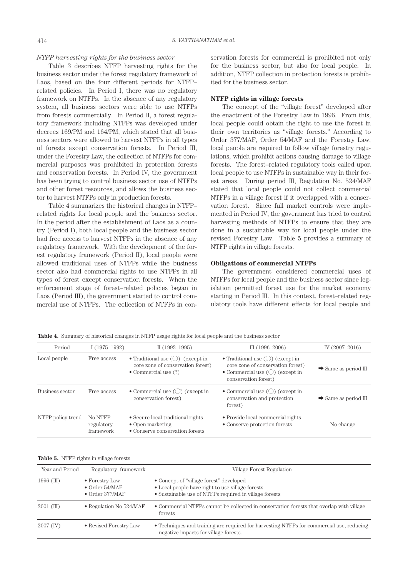#### *NTFP harvesting rights for the business sector*

Table 3 describes NTFP harvesting rights for the business sector under the forest regulatory framework of Laos, based on the four different periods for NTFP– related policies. In Period I, there was no regulatory framework on NTFPs. In the absence of any regulatory system, all business sectors were able to use NTFPs from forests commercially. In Period II, a forest regulatory framework including NTFPs was developed under decrees 169/PM and 164/PM, which stated that all business sectors were allowed to harvest NTFPs in all types of forests except conservation forests. In Period III, under the Forestry Law, the collection of NTFPs for commercial purposes was prohibited in protection forests and conservation forests. In Period IV, the government has been trying to control business sector use of NTFPs and other forest resources, and allows the business sector to harvest NTFPs only in production forests.

Table 4 summarizes the historical changes in NTFP– related rights for local people and the business sector. In the period after the establishment of Laos as a country (Period I), both local people and the business sector had free access to harvest NTFPs in the absence of any regulatory framework. With the development of the forest regulatory framework (Period II), local people were allowed traditional uses of NTFPs while the business sector also had commercial rights to use NTFPs in all types of forest except conservation forests. When the enforcement stage of forest–related policies began in Laos (Period III), the government started to control commercial use of NTFPs. The collection of NTFPs in conservation forests for commercial is prohibited not only for the business sector, but also for local people. In addition, NTFP collection in protection forests is prohibited for the business sector.

#### **NTFP rights in village forests**

The concept of the "village forest" developed after the enactment of the Forestry Law in 1996. From this, local people could obtain the right to use the forest in their own territories as "village forests." According to Order 377/MAF, Order 54/MAF and the Forestry Law, local people are required to follow village forestry regulations, which prohibit actions causing damage to village forests. The forest–related regulatory tools called upon local people to use NTFPs in sustainable way in their forest areas. During period III, Regulation No. 524/MAF stated that local people could not collect commercial NTFPs in a village forest if it overlapped with a conservation forest. Since full market controls were implemented in Period IV, the government has tried to control harvesting methods of NTFPs to ensure that they are done in a sustainable way for local people under the revised Forestry Law. Table 5 provides a summary of NTFP rights in village forests.

#### **Obligations of commercial NTFPs**

The government considered commercial uses of NTFPs for local people and the business sector since legislation permitted forest use for the market economy starting in Period III. In this context, forest–related regulatory tools have different effects for local people and

**Table 4.** Summary of historical changes in NTFP usage rights for local people and the business sector

| Period            | $I(1975-1992)$                     | $II(1993-1995)$                                                                                                             | III $(1996 - 2006)$                                                                                                                                           | IV (2007-2016)                   |
|-------------------|------------------------------------|-----------------------------------------------------------------------------------------------------------------------------|---------------------------------------------------------------------------------------------------------------------------------------------------------------|----------------------------------|
| Local people      | Free access                        | • Traditional use $\left(\bigcirc\right)$ (except in<br>core zone of conservation forest)<br>$\bullet$ Commercial use $(?)$ | • Traditional use $\left(\bigcirc\right)$ (except in<br>core zone of conservation forest)<br>• Commercial use $(\bigcirc)$ (except in<br>conservation forest) | $\rightarrow$ Same as period III |
| Business sector   | Free access                        | • Commercial use $\left(\bigcirc\right)$ (except in<br>conservation forest)                                                 | • Commercial use $\left(\bigcirc\right)$ (except in<br>conservation and protection<br>forest)                                                                 | $\rightarrow$ Same as period III |
| NTFP policy trend | No NTFP<br>regulatory<br>framework | • Secure local traditional rights<br>$\bullet$ Open marketing<br>• Conserve conservation forests                            | • Provide local commercial rights<br>• Conserve protection forests                                                                                            | No change                        |

**Table 5.** NTFP rights in village forests

| Year and Period | Regulatory framework                                                | Village Forest Regulation                                                                                                                             |
|-----------------|---------------------------------------------------------------------|-------------------------------------------------------------------------------------------------------------------------------------------------------|
| $1996$ (III)    | • Forestry Law<br>$\bullet$ Order 54/MAF<br>$\bullet$ Order 377/MAF | • Concept of "village forest" developed<br>• Local people have right to use village forests<br>• Sustainable use of NTFPs required in village forests |
| $2001$ (III)    | • Regulation No.524/MAF                                             | • Commercial NTFPs cannot be collected in conservation forests that overlap with village<br>forests                                                   |
| $2007$ (IV)     | • Revised Forestry Law                                              | • Techniques and training are required for harvesting NTFPs for commercial use, reducing<br>negative impacts for village forests.                     |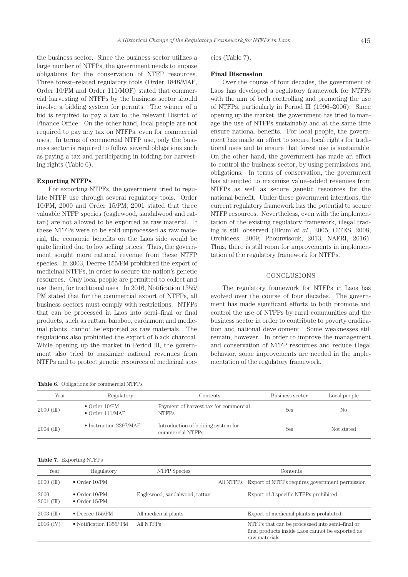the business sector. Since the business sector utilizes a large number of NTFPs, the government needs to impose obligations for the conservation of NTFP resources. Three forest–related regulatory tools (Order 1848/MAF, Order 10/PM and Order 111/MOF) stated that commercial harvesting of NTFPs by the business sector should involve a bidding system for permits. The winner of a bid is required to pay a tax to the relevant District of Finance Office. On the other hand, local people are not required to pay any tax on NTFPs, even for commercial uses. In terms of commercial NTFP use, only the business sector is required to follow several obligations such as paying a tax and participating in bidding for harvesting rights (Table 6).

#### **Exporting NTFPs**

For exporting NTPFs, the government tried to regulate NTFP use through several regulatory tools. Order 10/PM, 2000 and Order 15/PM, 2001 stated that three valuable NTFP species (eaglewood, sandalwood and rattan) are not allowed to be exported as raw material. If these NTFPs were to be sold unprocessed as raw material, the economic benefits on the Laos side would be quite limited due to low selling prices. Thus, the government sought more national revenue from these NTFP species. In 2003, Decree 155/PM prohibited the export of medicinal NTFPs, in order to secure the nation's genetic resources. Only local people are permitted to collect and use them, for traditional uses. In 2016, Notification 1355/ PM stated that for the commercial export of NTFPs, all business sectors must comply with restrictions. NTFPs that can be processed in Laos into semi–final or final products, such as rattan, bamboo, cardamom and medicinal plants, cannot be exported as raw materials. The regulations also prohibited the export of black charcoal. While opening up the market in Period III, the government also tried to maximize national revenues from NTFPs and to protect genetic resources of medicinal spe-

**Table 6.** Obligations for commercial NTFPs

| cies (Table $7$ ). |  |
|--------------------|--|
|                    |  |
|                    |  |

#### **Final Discussion**

Over the course of four decades, the government of Laos has developed a regulatory framework for NTFPs with the aim of both controlling and promoting the use of NTFPs, particularly in Period III (1996–2006). Since opening up the market, the government has tried to manage the use of NTFPs sustainably and at the same time ensure national benefits. For local people, the government has made an effort to secure local rights for traditional uses and to ensure that forest use is sustainable. On the other hand, the government has made an effort to control the business sector, by using permissions and obligations. In terms of conservation, the government has attempted to maximize value–added revenues from NTFPs as well as secure genetic resources for the national benefit. Under these government intentions, the current regulatory framework has the potential to secure NTFP resources. Nevertheless, even with the implementation of the existing regulatory framework, illegal trading is still observed (Hkum *et al*., 2005; CITES, 2008; Orchidees, 2009; Phounvisouk, 2013; NAFRI, 2016). Thus, there is still room for improvements in implementation of the regulatory framework for NTFPs.

#### CONCLUSIONS

The regulatory framework for NTFPs in Laos has evolved over the course of four decades. The government has made significant efforts to both promote and control the use of NTFPs by rural communities and the business sector in order to contribute to poverty eradication and national development. Some weaknesses still remain, however. In order to improve the management and conservation of NTFP resources and reduce illegal behavior, some improvements are needed in the implementation of the regulatory framework.

| Year         | Regulatory                                       | Contents                                               | Business sector | Local people   |
|--------------|--------------------------------------------------|--------------------------------------------------------|-----------------|----------------|
| $2000$ (III) | $\bullet$ Order 10/PM<br>$\bullet$ Order 111/MAF | Payment of harvest tax for commercial<br><b>NTFPs</b>  | Yes             | N <sub>0</sub> |
| $2004$ (III) | $\bullet$ Instruction 2297/MAF                   | Introduction of bidding system for<br>commercial NTFPs | Yes             | Not stated     |

#### **Table 7.** Exporting NTFPs

| Year                 | Regulatory                                     | NTFP Species                  | Contents                                                                                                             |
|----------------------|------------------------------------------------|-------------------------------|----------------------------------------------------------------------------------------------------------------------|
| $2000$ (III)         | $\bullet$ Order 10/PM                          |                               | All NTFPs Export of NTFPs requires government permission                                                             |
| 2000<br>$2001$ (III) | $\bullet$ Order 10/PM<br>$\bullet$ Order 15/PM | Eaglewood, sandalwood, rattan | Export of 3 specific NTFPs prohibited                                                                                |
| $2003$ (III)         | $\bullet$ Decree 155/PM                        | All medicinal plants          | Export of medicinal plants is prohibited                                                                             |
| $2016$ (IV)          | • Notification 1355/PM                         | All NTFPs                     | NTFPs that can be processed into semi-final or<br>final products inside Laos cannot be exported as<br>raw materials. |